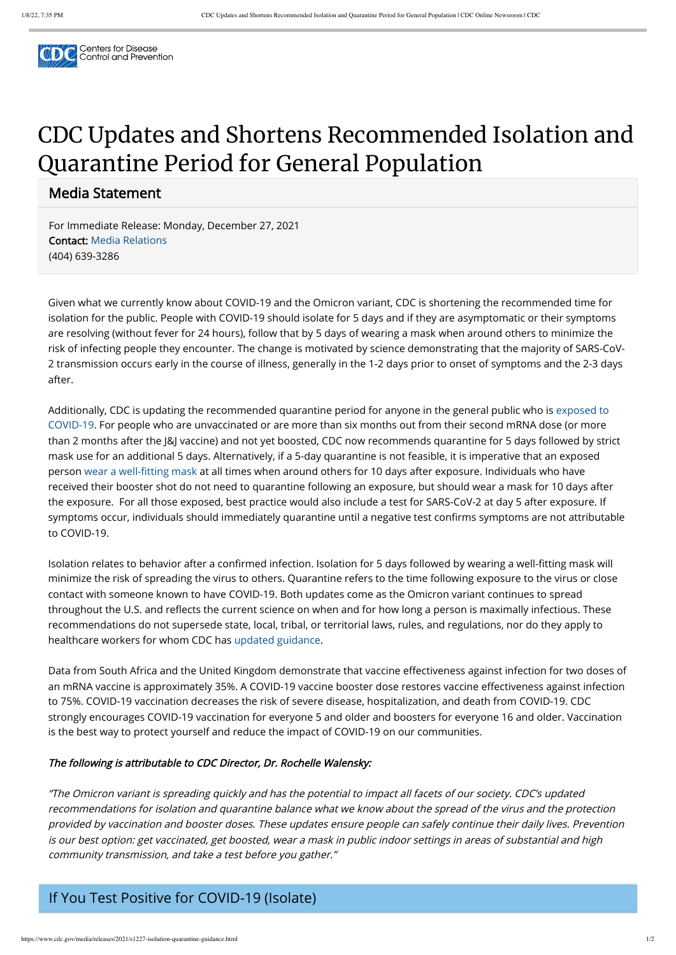

# CDC Updates and Shortens Recommended Isolation and Quarantine Period for General Population

Media Statement

For Immediate Release: Monday, December 27, 2021 Contact: [Media Relations](https://www.cdc.gov/media) (404) 639-3286

Given what we currently know about COVID-19 and the Omicron variant, CDC is shortening the recommended time for isolation for the public. People with COVID-19 should isolate for 5 days and if they are asymptomatic or their symptoms are resolving (without fever for 24 hours), follow that by 5 days of wearing a mask when around others to minimize the risk of infecting people they encounter. The change is motivated by science demonstrating that the majority of SARS-CoV-2 transmission occurs early in the course of illness, generally in the 1-2 days prior to onset of symptoms and the 2-3 days after.

[Additionally, CDC is updating the recommended quarantine period for anyone in the general public who is exposed to](https://www.cdc.gov/coronavirus/2019-ncov/your-health/quarantine-isolation.html#closecontact) COVID-19. For people who are unvaccinated or are more than six months out from their second mRNA dose (or more than 2 months after the J&J vaccine) and not yet boosted, CDC now recommends quarantine for 5 days followed by strict mask use for an additional 5 days. Alternatively, if a 5-day quarantine is not feasible, it is imperative that an exposed person [wear a well-fitting mask](https://www.cdc.gov/coronavirus/2019-ncov/your-health/effective-masks.html) at all times when around others for 10 days after exposure. Individuals who have received their booster shot do not need to quarantine following an exposure, but should wear a mask for 10 days after the exposure. For all those exposed, best practice would also include a test for SARS-CoV-2 at day 5 after exposure. If symptoms occur, individuals should immediately quarantine until a negative test confirms symptoms are not attributable to COVID-19.

Isolation relates to behavior after a confirmed infection. Isolation for 5 days followed by wearing a well-fitting mask will minimize the risk of spreading the virus to others. Quarantine refers to the time following exposure to the virus or close contact with someone known to have COVID-19. Both updates come as the Omicron variant continues to spread throughout the U.S. and reflects the current science on when and for how long a person is maximally infectious. These recommendations do not supersede state, local, tribal, or territorial laws, rules, and regulations, nor do they apply to healthcare workers for whom CDC has [updated guidance](https://www.cdc.gov/coronavirus/2019-ncov/hcp/guidance-risk-assesment-hcp.html).

Data from South Africa and the United Kingdom demonstrate that vaccine effectiveness against infection for two doses of an mRNA vaccine is approximately 35%. A COVID-19 vaccine booster dose restores vaccine effectiveness against infection to 75%. COVID-19 vaccination decreases the risk of severe disease, hospitalization, and death from COVID-19. CDC strongly encourages COVID-19 vaccination for everyone 5 and older and boosters for everyone 16 and older. Vaccination

## is the best way to protect yourself and reduce the impact of COVID-19 on our communities.

#### The following is attributable to CDC Director, Dr. Rochelle Walensky:

"The Omicron variant is spreading quickly and has the potential to impact all facets of our society. CDC's updated recommendations for isolation and quarantine balance what we know about the spread of the virus and the protection provided by vaccination and booster doses. These updates ensure people can safely continue their daily lives. Prevention is our best option: get vaccinated, get boosted, wear a mask in public indoor settings in areas of substantial and high community transmission, and take a test before you gather."

### If You Test Positive for COVID-19 (Isolate)